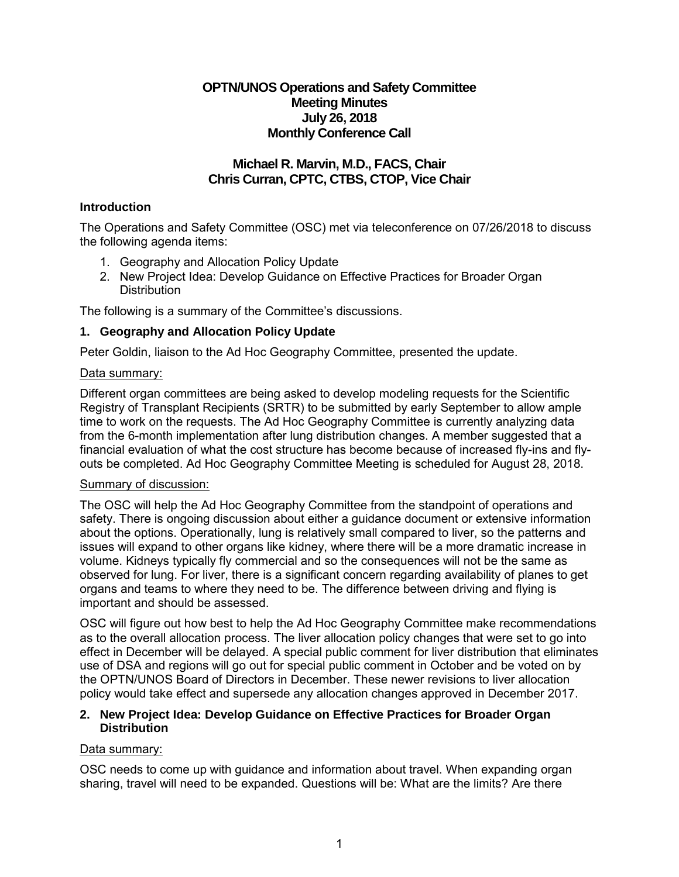# **OPTN/UNOS Operations and Safety Committee Meeting Minutes July 26, 2018 Monthly Conference Call**

# **Michael R. Marvin, M.D., FACS, Chair Chris Curran, CPTC, CTBS, CTOP, Vice Chair**

## **Introduction**

The Operations and Safety Committee (OSC) met via teleconference on 07/26/2018 to discuss the following agenda items:

- 1. Geography and Allocation Policy Update
- 2. New Project Idea: Develop Guidance on Effective Practices for Broader Organ **Distribution**

The following is a summary of the Committee's discussions.

## **1. Geography and Allocation Policy Update**

Peter Goldin, liaison to the Ad Hoc Geography Committee, presented the update.

### Data summary:

Different organ committees are being asked to develop modeling requests for the Scientific Registry of Transplant Recipients (SRTR) to be submitted by early September to allow ample time to work on the requests. The Ad Hoc Geography Committee is currently analyzing data from the 6-month implementation after lung distribution changes. A member suggested that a financial evaluation of what the cost structure has become because of increased fly-ins and flyouts be completed. Ad Hoc Geography Committee Meeting is scheduled for August 28, 2018.

#### Summary of discussion:

The OSC will help the Ad Hoc Geography Committee from the standpoint of operations and safety. There is ongoing discussion about either a guidance document or extensive information about the options. Operationally, lung is relatively small compared to liver, so the patterns and issues will expand to other organs like kidney, where there will be a more dramatic increase in volume. Kidneys typically fly commercial and so the consequences will not be the same as observed for lung. For liver, there is a significant concern regarding availability of planes to get organs and teams to where they need to be. The difference between driving and flying is important and should be assessed.

OSC will figure out how best to help the Ad Hoc Geography Committee make recommendations as to the overall allocation process. The liver allocation policy changes that were set to go into effect in December will be delayed. A special public comment for liver distribution that eliminates use of DSA and regions will go out for special public comment in October and be voted on by the OPTN/UNOS Board of Directors in December. These newer revisions to liver allocation policy would take effect and supersede any allocation changes approved in December 2017.

### **2. New Project Idea: Develop Guidance on Effective Practices for Broader Organ Distribution**

## Data summary:

OSC needs to come up with guidance and information about travel. When expanding organ sharing, travel will need to be expanded. Questions will be: What are the limits? Are there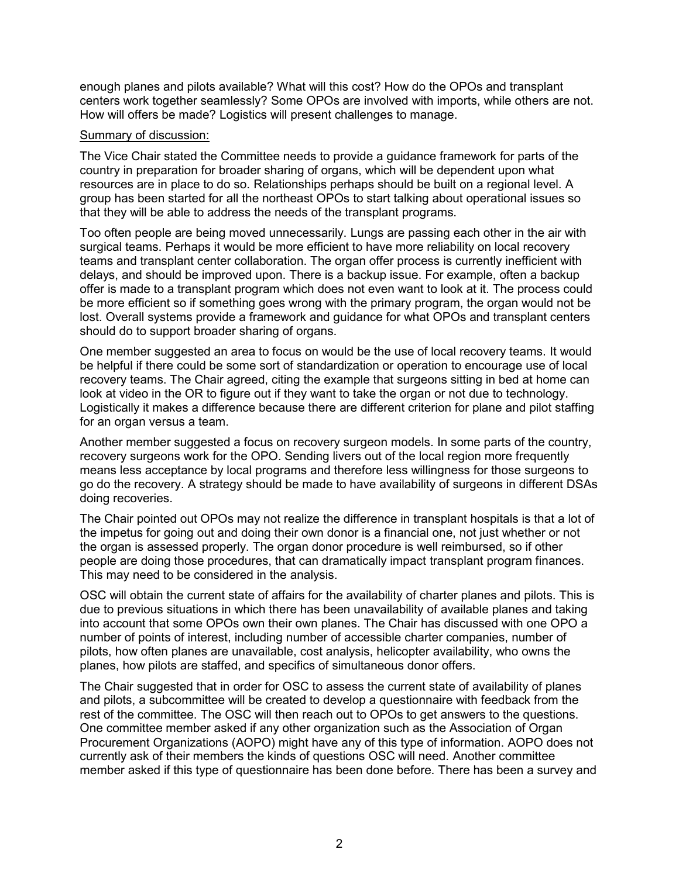enough planes and pilots available? What will this cost? How do the OPOs and transplant centers work together seamlessly? Some OPOs are involved with imports, while others are not. How will offers be made? Logistics will present challenges to manage.

#### Summary of discussion:

The Vice Chair stated the Committee needs to provide a guidance framework for parts of the country in preparation for broader sharing of organs, which will be dependent upon what resources are in place to do so. Relationships perhaps should be built on a regional level. A group has been started for all the northeast OPOs to start talking about operational issues so that they will be able to address the needs of the transplant programs.

Too often people are being moved unnecessarily. Lungs are passing each other in the air with surgical teams. Perhaps it would be more efficient to have more reliability on local recovery teams and transplant center collaboration. The organ offer process is currently inefficient with delays, and should be improved upon. There is a backup issue. For example, often a backup offer is made to a transplant program which does not even want to look at it. The process could be more efficient so if something goes wrong with the primary program, the organ would not be lost. Overall systems provide a framework and guidance for what OPOs and transplant centers should do to support broader sharing of organs.

One member suggested an area to focus on would be the use of local recovery teams. It would be helpful if there could be some sort of standardization or operation to encourage use of local recovery teams. The Chair agreed, citing the example that surgeons sitting in bed at home can look at video in the OR to figure out if they want to take the organ or not due to technology. Logistically it makes a difference because there are different criterion for plane and pilot staffing for an organ versus a team.

Another member suggested a focus on recovery surgeon models. In some parts of the country, recovery surgeons work for the OPO. Sending livers out of the local region more frequently means less acceptance by local programs and therefore less willingness for those surgeons to go do the recovery. A strategy should be made to have availability of surgeons in different DSAs doing recoveries.

The Chair pointed out OPOs may not realize the difference in transplant hospitals is that a lot of the impetus for going out and doing their own donor is a financial one, not just whether or not the organ is assessed properly. The organ donor procedure is well reimbursed, so if other people are doing those procedures, that can dramatically impact transplant program finances. This may need to be considered in the analysis.

OSC will obtain the current state of affairs for the availability of charter planes and pilots. This is due to previous situations in which there has been unavailability of available planes and taking into account that some OPOs own their own planes. The Chair has discussed with one OPO a number of points of interest, including number of accessible charter companies, number of pilots, how often planes are unavailable, cost analysis, helicopter availability, who owns the planes, how pilots are staffed, and specifics of simultaneous donor offers.

The Chair suggested that in order for OSC to assess the current state of availability of planes and pilots, a subcommittee will be created to develop a questionnaire with feedback from the rest of the committee. The OSC will then reach out to OPOs to get answers to the questions. One committee member asked if any other organization such as the Association of Organ Procurement Organizations (AOPO) might have any of this type of information. AOPO does not currently ask of their members the kinds of questions OSC will need. Another committee member asked if this type of questionnaire has been done before. There has been a survey and